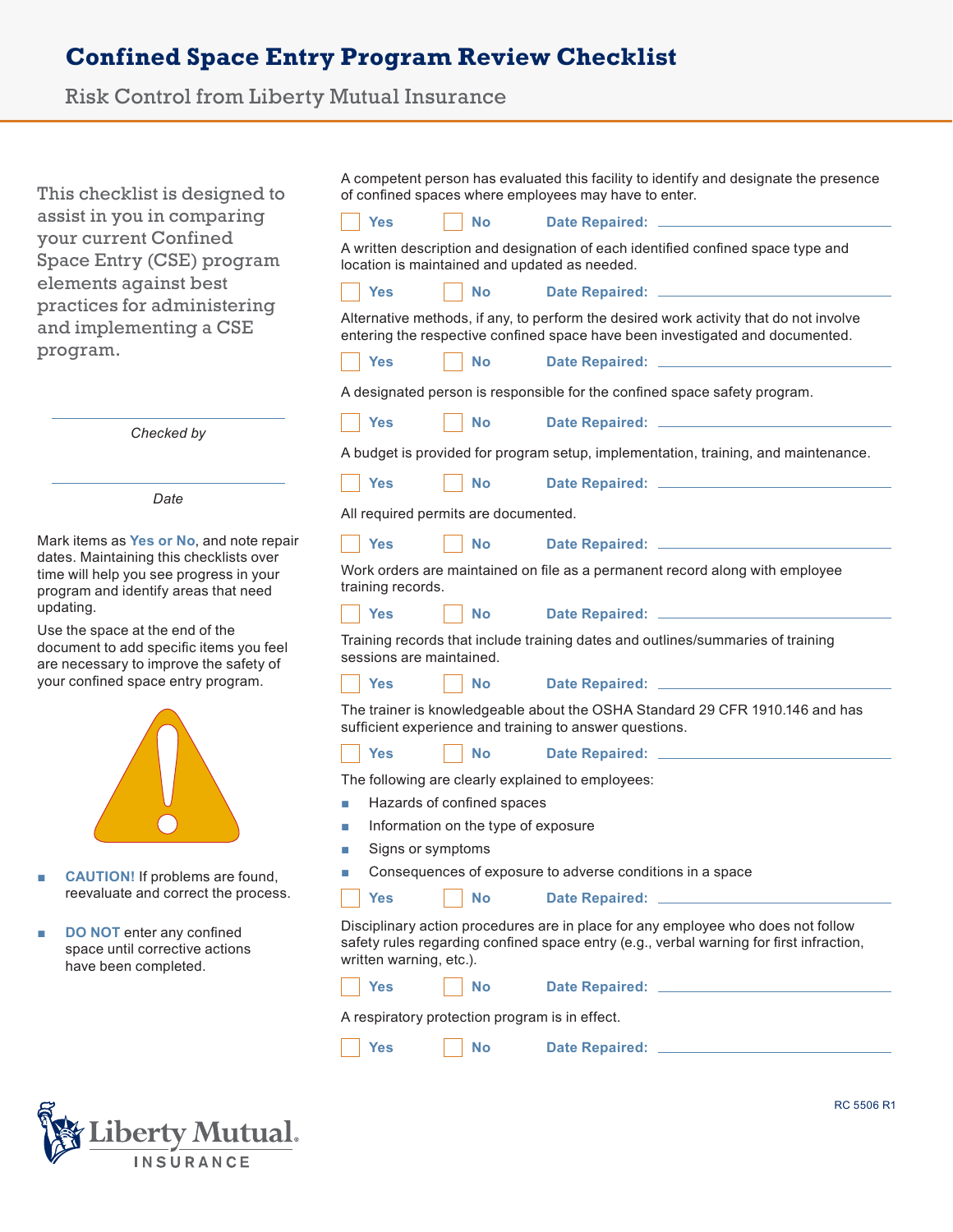## **Confined Space Entry Program Review Checklist**

Risk Control from Liberty Mutual Insurance

| This checklist is designed to<br>assist in you in comparing<br>your current Confined<br>Space Entry (CSE) program<br>elements against best<br>practices for administering<br>and implementing a CSE<br>program.<br>Checked by |                                                                                     | A competent person has evaluated this facility to identify and designate the presence<br>of confined spaces where employees may have to enter. |                                               |                                                                                                                                                                             |  |
|-------------------------------------------------------------------------------------------------------------------------------------------------------------------------------------------------------------------------------|-------------------------------------------------------------------------------------|------------------------------------------------------------------------------------------------------------------------------------------------|-----------------------------------------------|-----------------------------------------------------------------------------------------------------------------------------------------------------------------------------|--|
|                                                                                                                                                                                                                               |                                                                                     | <b>Yes</b>                                                                                                                                     | <b>No</b>                                     |                                                                                                                                                                             |  |
|                                                                                                                                                                                                                               |                                                                                     |                                                                                                                                                | location is maintained and updated as needed. | A written description and designation of each identified confined space type and                                                                                            |  |
|                                                                                                                                                                                                                               |                                                                                     | <b>Yes</b>                                                                                                                                     | <b>No</b>                                     |                                                                                                                                                                             |  |
|                                                                                                                                                                                                                               |                                                                                     |                                                                                                                                                |                                               | Alternative methods, if any, to perform the desired work activity that do not involve<br>entering the respective confined space have been investigated and documented.      |  |
|                                                                                                                                                                                                                               |                                                                                     | <b>Yes</b>                                                                                                                                     | <b>No</b>                                     | Date Repaired: <u>_____________________</u>                                                                                                                                 |  |
|                                                                                                                                                                                                                               |                                                                                     |                                                                                                                                                |                                               | A designated person is responsible for the confined space safety program.                                                                                                   |  |
|                                                                                                                                                                                                                               |                                                                                     | <b>Yes</b>                                                                                                                                     | <b>No</b>                                     |                                                                                                                                                                             |  |
|                                                                                                                                                                                                                               |                                                                                     |                                                                                                                                                |                                               |                                                                                                                                                                             |  |
|                                                                                                                                                                                                                               |                                                                                     |                                                                                                                                                |                                               | A budget is provided for program setup, implementation, training, and maintenance.                                                                                          |  |
|                                                                                                                                                                                                                               | Date                                                                                | <b>Yes</b>                                                                                                                                     | <b>No</b>                                     | Date Repaired: <u>____________________________</u>                                                                                                                          |  |
|                                                                                                                                                                                                                               |                                                                                     | All required permits are documented.                                                                                                           |                                               |                                                                                                                                                                             |  |
|                                                                                                                                                                                                                               | Mark items as Yes or No, and note repair                                            | <b>Yes</b>                                                                                                                                     | <b>No</b>                                     |                                                                                                                                                                             |  |
| dates. Maintaining this checklists over<br>time will help you see progress in your<br>program and identify areas that need                                                                                                    |                                                                                     | training records.                                                                                                                              |                                               | Work orders are maintained on file as a permanent record along with employee                                                                                                |  |
| updating.                                                                                                                                                                                                                     |                                                                                     | <b>Yes</b>                                                                                                                                     | <b>No</b>                                     |                                                                                                                                                                             |  |
| Use the space at the end of the<br>document to add specific items you feel<br>are necessary to improve the safety of                                                                                                          |                                                                                     | Training records that include training dates and outlines/summaries of training<br>sessions are maintained.                                    |                                               |                                                                                                                                                                             |  |
|                                                                                                                                                                                                                               | your confined space entry program.                                                  | <b>Yes</b>                                                                                                                                     | <b>No</b>                                     |                                                                                                                                                                             |  |
|                                                                                                                                                                                                                               |                                                                                     | The trainer is knowledgeable about the OSHA Standard 29 CFR 1910.146 and has<br>sufficient experience and training to answer questions.        |                                               |                                                                                                                                                                             |  |
|                                                                                                                                                                                                                               |                                                                                     | <b>Yes</b>                                                                                                                                     | <b>No</b>                                     | Date Repaired: <u>____________________</u>                                                                                                                                  |  |
|                                                                                                                                                                                                                               |                                                                                     |                                                                                                                                                |                                               | The following are clearly explained to employees:                                                                                                                           |  |
|                                                                                                                                                                                                                               |                                                                                     | Hazards of confined spaces<br>П                                                                                                                |                                               |                                                                                                                                                                             |  |
|                                                                                                                                                                                                                               |                                                                                     | Information on the type of exposure                                                                                                            |                                               |                                                                                                                                                                             |  |
|                                                                                                                                                                                                                               |                                                                                     | Signs or symptoms<br>П                                                                                                                         |                                               |                                                                                                                                                                             |  |
| E                                                                                                                                                                                                                             | <b>CAUTION!</b> If problems are found,                                              |                                                                                                                                                |                                               | Consequences of exposure to adverse conditions in a space                                                                                                                   |  |
|                                                                                                                                                                                                                               | reevaluate and correct the process.                                                 | <b>Yes</b>                                                                                                                                     | <b>No</b>                                     | <b>Date Repaired:</b>                                                                                                                                                       |  |
| E                                                                                                                                                                                                                             | DO NOT enter any confined<br>space until corrective actions<br>have been completed. | written warning, etc.).                                                                                                                        |                                               | Disciplinary action procedures are in place for any employee who does not follow<br>safety rules regarding confined space entry (e.g., verbal warning for first infraction, |  |
|                                                                                                                                                                                                                               |                                                                                     | <b>Yes</b>                                                                                                                                     | <b>No</b>                                     |                                                                                                                                                                             |  |
|                                                                                                                                                                                                                               |                                                                                     | A respiratory protection program is in effect.                                                                                                 |                                               |                                                                                                                                                                             |  |
|                                                                                                                                                                                                                               |                                                                                     | <b>Yes</b>                                                                                                                                     | <b>No</b>                                     | <b>Date Repaired:</b>                                                                                                                                                       |  |

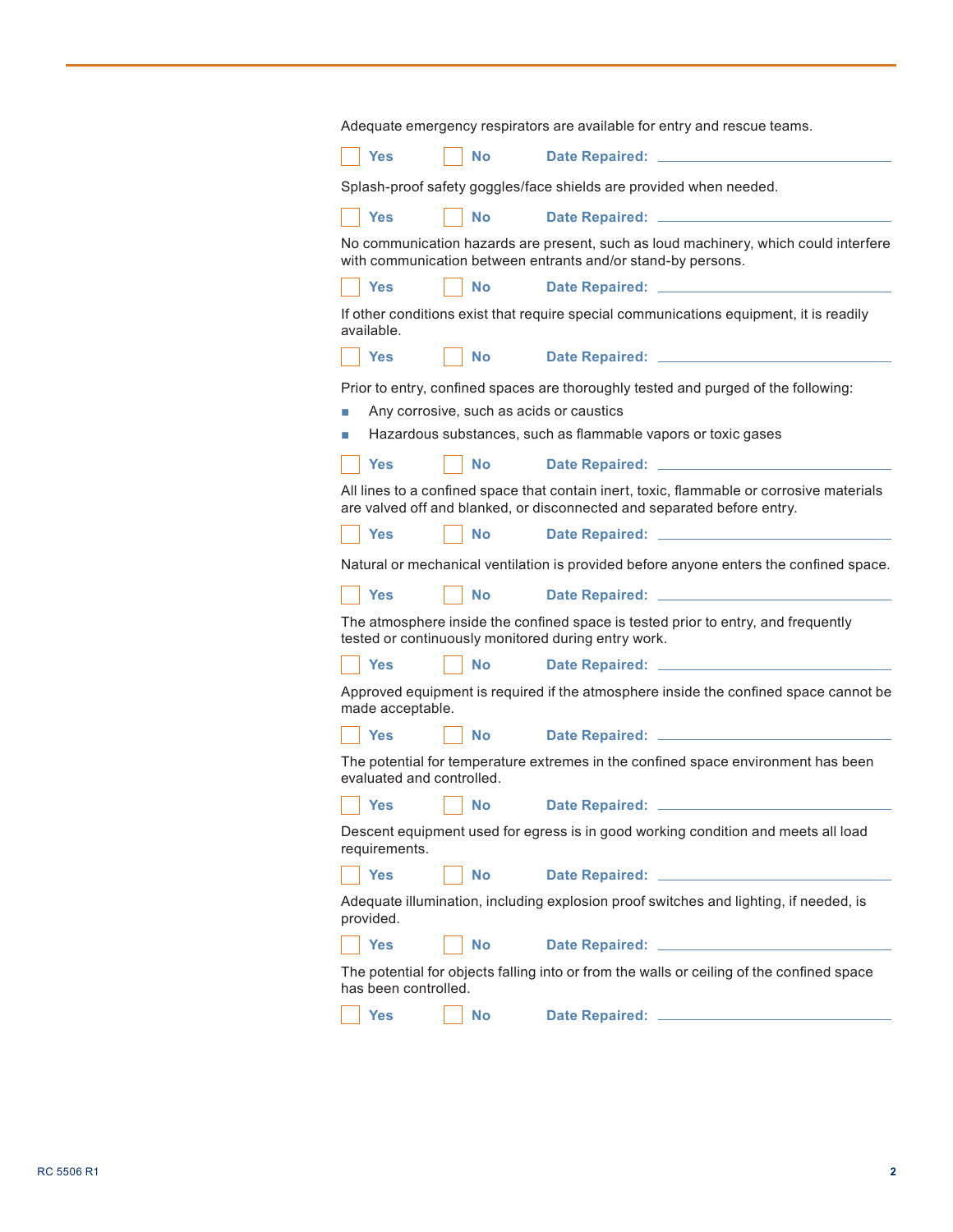|                           |           | Adequate emergency respirators are available for entry and rescue teams.                                                                                             |
|---------------------------|-----------|----------------------------------------------------------------------------------------------------------------------------------------------------------------------|
| Yes                       | <b>No</b> | <b>Date Repaired:</b>                                                                                                                                                |
|                           |           | Splash-proof safety goggles/face shields are provided when needed.                                                                                                   |
| <b>Yes</b>                | <b>No</b> | <b>Date Repaired:</b>                                                                                                                                                |
|                           |           | No communication hazards are present, such as loud machinery, which could interfere<br>with communication between entrants and/or stand-by persons.                  |
| <b>Yes</b>                | <b>No</b> | <b>Date Repaired:</b>                                                                                                                                                |
| available.                |           | If other conditions exist that require special communications equipment, it is readily                                                                               |
| <b>Yes</b>                | <b>No</b> | Date Repaired: _______                                                                                                                                               |
|                           |           | Prior to entry, confined spaces are thoroughly tested and purged of the following:                                                                                   |
| E                         |           | Any corrosive, such as acids or caustics                                                                                                                             |
| П                         |           | Hazardous substances, such as flammable vapors or toxic gases                                                                                                        |
| Yes                       | <b>No</b> | <b>Date Repaired:</b>                                                                                                                                                |
|                           |           | All lines to a confined space that contain inert, toxic, flammable or corrosive materials<br>are valved off and blanked, or disconnected and separated before entry. |
| <b>Yes</b>                | <b>No</b> | <b>Date Repaired:</b>                                                                                                                                                |
|                           |           | Natural or mechanical ventilation is provided before anyone enters the confined space.                                                                               |
| Yes                       | <b>No</b> | <b>Date Repaired:</b>                                                                                                                                                |
|                           |           | The atmosphere inside the confined space is tested prior to entry, and frequently<br>tested or continuously monitored during entry work.                             |
| <b>Yes</b>                | <b>No</b> | <b>Date Repaired:</b>                                                                                                                                                |
| made acceptable.          |           | Approved equipment is required if the atmosphere inside the confined space cannot be                                                                                 |
| <b>Yes</b>                | <b>No</b> | Date Repaired: ____                                                                                                                                                  |
| evaluated and controlled. |           | The potential for temperature extremes in the confined space environment has been                                                                                    |
| Yes                       | <b>No</b> | <b>Date Repaired:</b>                                                                                                                                                |
| requirements.             |           | Descent equipment used for egress is in good working condition and meets all load                                                                                    |
| <b>Yes</b>                | <b>No</b> |                                                                                                                                                                      |
| provided.                 |           | Adequate illumination, including explosion proof switches and lighting, if needed, is                                                                                |
| <b>Yes</b>                | <b>No</b> | Date Repaired: <u>______________________</u>                                                                                                                         |
| has been controlled.      |           | The potential for objects falling into or from the walls or ceiling of the confined space                                                                            |
| <b>Yes</b>                | <b>No</b> | Date Repaired: ___________                                                                                                                                           |